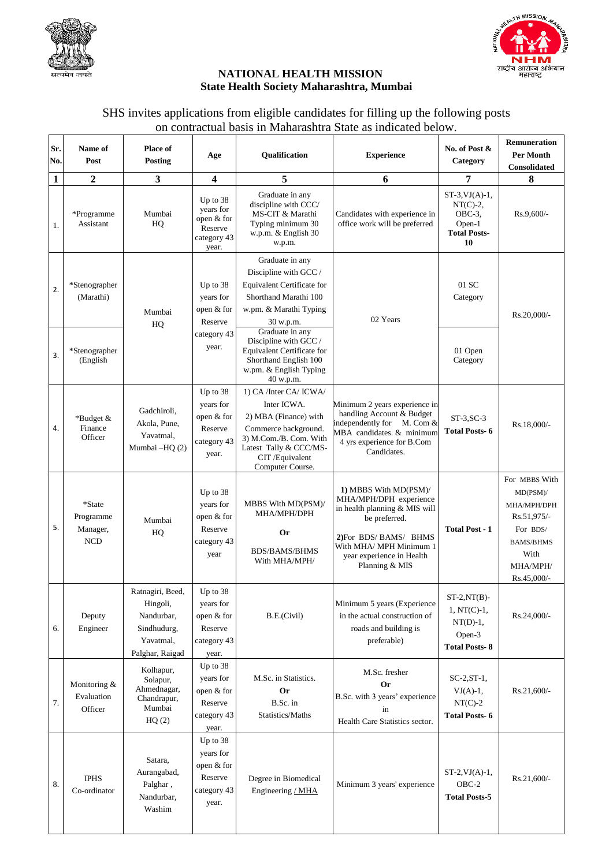



## **NATIONAL HEALTH MISSION State Health Society Maharashtra, Mumbai**

## SHS invites applications from eligible candidates for filling up the following posts on contractual basis in Maharashtra State as indicated below.

| Sr.<br>No. | Name of<br>Post                               | <b>Place of</b><br>Posting                                                                | Age                                                                    | Qualification                                                                                                                                                                    | <b>Experience</b>                                                                                                                                                                                  | No. of Post &<br>Category                                                               | <b>Remuneration</b><br><b>Per Month</b><br>Consolidated                                                                       |
|------------|-----------------------------------------------|-------------------------------------------------------------------------------------------|------------------------------------------------------------------------|----------------------------------------------------------------------------------------------------------------------------------------------------------------------------------|----------------------------------------------------------------------------------------------------------------------------------------------------------------------------------------------------|-----------------------------------------------------------------------------------------|-------------------------------------------------------------------------------------------------------------------------------|
| 1          | $\mathbf{2}$                                  | 3                                                                                         | 4                                                                      | 5                                                                                                                                                                                | 6                                                                                                                                                                                                  | 7                                                                                       | 8                                                                                                                             |
| 1.         | *Programme<br>Assistant                       | Mumbai<br>HQ                                                                              | Up to 38<br>vears for<br>open & for<br>Reserve<br>category 43<br>year. | Graduate in any<br>discipline with CCC/<br>MS-CIT & Marathi<br>Typing minimum 30<br>w.p.m. & English 30<br>w.p.m.                                                                | Candidates with experience in<br>office work will be preferred                                                                                                                                     | $ST-3$ , $VJ(A)-1$ ,<br>$NT(C)-2$ ,<br>$OBC-3$ ,<br>Open-1<br><b>Total Posts-</b><br>10 | Rs.9,600/-                                                                                                                    |
| 2.         | *Stenographer<br>(Marathi)                    | Mumbai<br>HQ                                                                              | Up to $38$<br>years for<br>open & for<br>Reserve                       | Graduate in any<br>Discipline with GCC /<br><b>Equivalent Certificate for</b><br>Shorthand Marathi 100<br>w.pm. & Marathi Typing<br>30 w.p.m.                                    | 02 Years                                                                                                                                                                                           | 01 SC<br>Category                                                                       | Rs.20,000/-                                                                                                                   |
| 3.         | *Stenographer<br>(English                     |                                                                                           | category 43<br>year.                                                   | Graduate in any<br>Discipline with GCC /<br>Equivalent Certificate for<br>Shorthand English 100<br>w.pm. & English Typing<br>40 w.p.m.                                           |                                                                                                                                                                                                    | 01 Open<br>Category                                                                     |                                                                                                                               |
| 4.         | *Budget &<br>Finance<br>Officer               | Gadchiroli.<br>Akola, Pune,<br>Yavatmal,<br>Mumbai -HQ (2)                                | Up to 38<br>years for<br>open & for<br>Reserve<br>category 43<br>year. | 1) CA /Inter CA/ ICWA/<br>Inter ICWA.<br>2) MBA (Finance) with<br>Commerce background.<br>3) M.Com./B. Com. With<br>Latest Tally & CCC/MS-<br>CIT/Equivalent<br>Computer Course. | Minimum 2 years experience in<br>handling Account & Budget<br>independently for M. Com $&$<br>MBA candidates. & minimum<br>4 yrs experience for B.Com<br>Candidates.                               | $ST-3.SC-3$<br><b>Total Posts-6</b>                                                     | Rs.18,000/-                                                                                                                   |
| 5.         | *State<br>Programme<br>Manager,<br><b>NCD</b> | Mumbai<br>HQ                                                                              | Up to 38<br>years for<br>open & for<br>Reserve<br>category 43<br>year  | MBBS With MD(PSM)/<br>MHA/MPH/DPH<br><b>Or</b><br><b>BDS/BAMS/BHMS</b><br>With MHA/MPH/                                                                                          | 1) MBBS With MD(PSM)/<br>MHA/MPH/DPH experience<br>in health planning & MIS will<br>be preferred.<br>2)For BDS/BAMS/BHMS<br>With MHA/ MPH Minimum 1<br>year experience in Health<br>Planning & MIS | <b>Total Post - 1</b>                                                                   | For MBBS With<br>$MD(PSM)$ /<br>MHA/MPH/DPH<br>Rs.51,975/-<br>For BDS/<br><b>BAMS/BHMS</b><br>With<br>MHA/MPH/<br>Rs.45,000/- |
| 6.         | Deputy<br>Engineer                            | Ratnagiri, Beed,<br>Hingoli,<br>Nandurbar,<br>Sindhudurg,<br>Yavatmal,<br>Palghar, Raigad | Up to 38<br>years for<br>open & for<br>Reserve<br>category 43<br>year. | B.E.(Civil)                                                                                                                                                                      | Minimum 5 years (Experience<br>in the actual construction of<br>roads and building is<br>preferable)                                                                                               | $ST-2, NT(B)$ -<br>$1, NT(C)-1,$<br>$NT(D)-1,$<br>Open-3<br><b>Total Posts-8</b>        | Rs.24,000/-                                                                                                                   |
| 7.         | Monitoring &<br>Evaluation<br>Officer         | Kolhapur,<br>Solapur,<br>Ahmednagar,<br>Chandrapur,<br>Mumbai<br>HQ(2)                    | Up to 38<br>years for<br>open & for<br>Reserve<br>category 43<br>year. | M.Sc. in Statistics.<br><b>Or</b><br>B.Sc. in<br>Statistics/Maths                                                                                                                | M.Sc. fresher<br><b>Or</b><br>B.Sc. with 3 years' experience<br>in<br>Health Care Statistics sector.                                                                                               | $SC-2, ST-1,$<br>$VJ(A)-1$ ,<br>$NT(C)-2$<br><b>Total Posts-6</b>                       | Rs.21,600/-                                                                                                                   |
| 8.         | <b>IPHS</b><br>Co-ordinator                   | Satara,<br>Aurangabad,<br>Palghar,<br>Nandurbar,<br>Washim                                | Up to 38<br>years for<br>open & for<br>Reserve<br>category 43<br>year. | Degree in Biomedical<br>Engineering / MHA                                                                                                                                        | Minimum 3 years' experience                                                                                                                                                                        | $ST-2$ , $VJ(A)-1$ ,<br>$OBC-2$<br><b>Total Posts-5</b>                                 | Rs.21,600/-                                                                                                                   |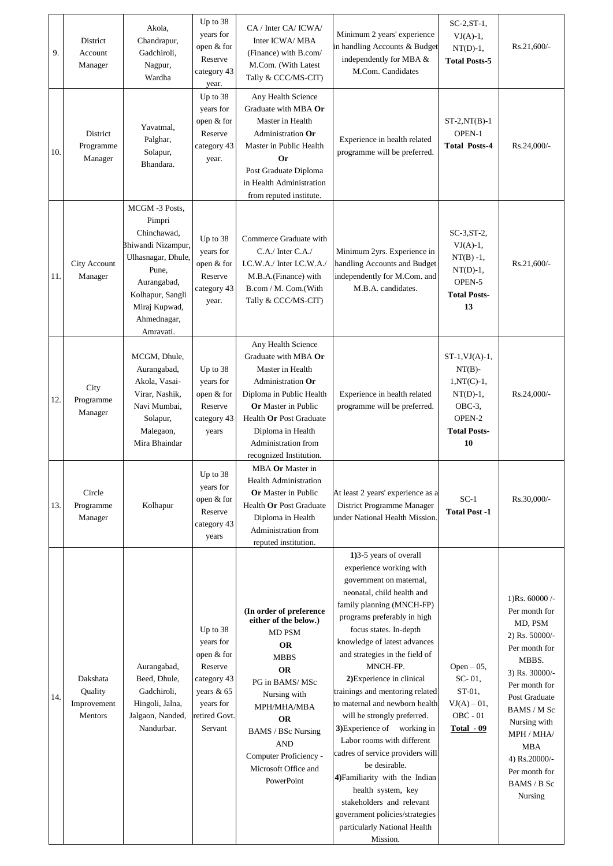| 9.  | District<br>Account<br>Manager                | Akola,<br>Chandrapur,<br>Gadchiroli,<br>Nagpur,<br>Wardha                                                                                                                   | Up to 38<br>years for<br>open & for<br>Reserve<br>category 43<br>year.                                               | CA / Inter CA/ ICWA/<br>Inter ICWA/MBA<br>(Finance) with B.com/<br>M.Com. (With Latest<br>Tally & CCC/MS-CIT)                                                                                                                                                                | Minimum 2 years' experience<br>in handling Accounts & Budget<br>independently for MBA &<br>M.Com. Candidates                                                                                                                                                                                                                                                                                                                                                                                                                                                                                                                                                                                         | $SC-2, ST-1,$<br>$VI(A)-1,$<br>$NT(D)-1$ ,<br><b>Total Posts-5</b>                                                    | Rs.21,600/-                                                                                                                                                                                                                                                  |
|-----|-----------------------------------------------|-----------------------------------------------------------------------------------------------------------------------------------------------------------------------------|----------------------------------------------------------------------------------------------------------------------|------------------------------------------------------------------------------------------------------------------------------------------------------------------------------------------------------------------------------------------------------------------------------|------------------------------------------------------------------------------------------------------------------------------------------------------------------------------------------------------------------------------------------------------------------------------------------------------------------------------------------------------------------------------------------------------------------------------------------------------------------------------------------------------------------------------------------------------------------------------------------------------------------------------------------------------------------------------------------------------|-----------------------------------------------------------------------------------------------------------------------|--------------------------------------------------------------------------------------------------------------------------------------------------------------------------------------------------------------------------------------------------------------|
| 10. | District<br>Programme<br>Manager              | Yavatmal,<br>Palghar,<br>Solapur,<br>Bhandara.                                                                                                                              | Up to 38<br>years for<br>open & for<br>Reserve<br>category 43<br>year.                                               | Any Health Science<br>Graduate with MBA Or<br>Master in Health<br>Administration Or<br>Master in Public Health<br><b>Or</b><br>Post Graduate Diploma<br>in Health Administration<br>from reputed institute.                                                                  | Experience in health related<br>programme will be preferred.                                                                                                                                                                                                                                                                                                                                                                                                                                                                                                                                                                                                                                         | $ST-2, NT(B)-1$<br>OPEN-1<br><b>Total Posts-4</b>                                                                     | Rs.24,000/-                                                                                                                                                                                                                                                  |
| 11. | City Account<br>Manager                       | MCGM-3 Posts,<br>Pimpri<br>Chinchawad,<br>Bhiwandi Nizampur,<br>Ulhasnagar, Dhule,<br>Pune,<br>Aurangabad,<br>Kolhapur, Sangli<br>Miraj Kupwad,<br>Ahmednagar,<br>Amravati. | Up to 38<br>years for<br>open & for<br>Reserve<br>category 43<br>year.                                               | Commerce Graduate with<br>$C.A$ . Inter $C.A$ .<br>I.C.W.A./ Inter I.C.W.A./<br>M.B.A.(Finance) with<br>B.com / M. Com.(With<br>Tally & CCC/MS-CIT)                                                                                                                          | Minimum 2yrs. Experience in<br>handling Accounts and Budget<br>independently for M.Com. and<br>M.B.A. candidates.                                                                                                                                                                                                                                                                                                                                                                                                                                                                                                                                                                                    | $SC-3, ST-2$<br>$VI(A)-1,$<br>$NT(B) -1,$<br>$NT(D)-1,$<br>OPEN-5<br><b>Total Posts-</b><br>13                        | Rs.21,600/-                                                                                                                                                                                                                                                  |
| 12. | City<br>Programme<br>Manager                  | MCGM, Dhule,<br>Aurangabad,<br>Akola, Vasai-<br>Virar, Nashik,<br>Navi Mumbai,<br>Solapur,<br>Malegaon,<br>Mira Bhaindar                                                    | Up to 38<br>years for<br>open & for<br>Reserve<br>category 43<br>years                                               | Any Health Science<br>Graduate with MBA Or<br>Master in Health<br>Administration Or<br>Diploma in Public Health<br><b>Or</b> Master in Public<br>Health Or Post Graduate<br>Diploma in Health<br>Administration from<br>recognized Institution.                              | Experience in health related<br>programme will be preferred.                                                                                                                                                                                                                                                                                                                                                                                                                                                                                                                                                                                                                                         | $ST-1$ , $VJ(A)-1$ ,<br>$NT(B)$ -<br>$1, NT(C)-1,$<br>$NT(D)-1$ ,<br>$OBC-3$ ,<br>OPEN-2<br><b>Total Posts-</b><br>10 | Rs.24,000/-                                                                                                                                                                                                                                                  |
| 13. | Circle<br>Programme<br>Manager                | Kolhapur                                                                                                                                                                    | Up to 38<br>years for<br>open & for<br>Reserve<br>category 43<br>years                                               | MBA Or Master in<br><b>Health Administration</b><br><b>Or</b> Master in Public<br>Health Or Post Graduate<br>Diploma in Health<br>Administration from<br>reputed institution.                                                                                                | At least 2 years' experience as a<br>District Programme Manager<br>under National Health Mission.                                                                                                                                                                                                                                                                                                                                                                                                                                                                                                                                                                                                    | $SC-1$<br><b>Total Post -1</b>                                                                                        | Rs.30,000/-                                                                                                                                                                                                                                                  |
| 14. | Dakshata<br>Quality<br>Improvement<br>Mentors | Aurangabad,<br>Beed, Dhule,<br>Gadchiroli,<br>Hingoli, Jalna,<br>Jalgaon, Nanded,<br>Nandurbar.                                                                             | Up to 38<br>years for<br>open & for<br>Reserve<br>category 43<br>years & 65<br>years for<br>retired Govt.<br>Servant | (In order of preference<br>either of the below.)<br>MD PSM<br><b>OR</b><br><b>MBBS</b><br><b>OR</b><br>PG in BAMS/MSc<br>Nursing with<br>MPH/MHA/MBA<br><b>OR</b><br><b>BAMS / BSc Nursing</b><br><b>AND</b><br>Computer Proficiency -<br>Microsoft Office and<br>PowerPoint | 1)3-5 years of overall<br>experience working with<br>government on maternal,<br>neonatal, child health and<br>family planning (MNCH-FP)<br>programs preferably in high<br>focus states. In-depth<br>knowledge of latest advances<br>and strategies in the field of<br>MNCH-FP.<br>2) Experience in clinical<br>trainings and mentoring related<br>to maternal and newborn health<br>will be strongly preferred.<br>3) Experience of working in<br>Labor rooms with different<br>cadres of service providers will<br>be desirable.<br>4) Familiarity with the Indian<br>health system, key<br>stakeholders and relevant<br>government policies/strategies<br>particularly National Health<br>Mission. | Open $-05$ ,<br>SC-01,<br>ST-01,<br>$VI(A) - 01,$<br>$OBC - 01$<br>Total - 09                                         | 1)Rs. $60000$ /-<br>Per month for<br>MD, PSM<br>2) Rs. 50000/-<br>Per month for<br>MBBS.<br>3) Rs. 30000/-<br>Per month for<br>Post Graduate<br>BAMS / M Sc<br>Nursing with<br>MPH / MHA/<br>MBA<br>4) Rs.20000/-<br>Per month for<br>BAMS / B Sc<br>Nursing |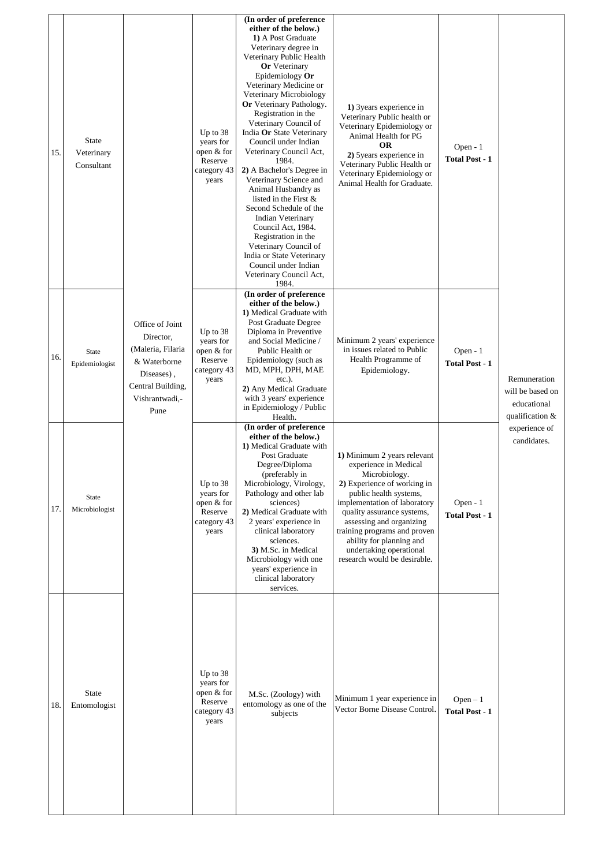| 15. | <b>State</b><br>Veterinary<br>Consultant | Office of Joint<br>Director,<br>(Maleria, Filaria<br>& Waterborne<br>Diseases),<br>Central Building,<br>Vishrantwadi,-<br>Pune | Up to 38<br>years for<br>open & for<br>Reserve<br>category 43<br>years   | (In order of preference<br>either of the below.)<br>1) A Post Graduate<br>Veterinary degree in<br>Veterinary Public Health<br><b>Or</b> Veterinary<br>Epidemiology Or<br>Veterinary Medicine or<br>Veterinary Microbiology<br>Or Veterinary Pathology.<br>Registration in the<br>Veterinary Council of<br>India Or State Veterinary<br>Council under Indian<br>Veterinary Council Act,<br>1984.<br>2) A Bachelor's Degree in<br>Veterinary Science and<br>Animal Husbandry as<br>listed in the First &<br>Second Schedule of the<br>Indian Veterinary<br>Council Act, 1984.<br>Registration in the<br>Veterinary Council of<br>India or State Veterinary<br>Council under Indian<br>Veterinary Council Act,<br>1984. | 1) 3years experience in<br>Veterinary Public health or<br>Veterinary Epidemiology or<br>Animal Health for PG<br><b>OR</b><br>2) 5years experience in<br>Veterinary Public Health or<br>Veterinary Epidemiology or<br>Animal Health for Graduate.                                                                                                | Open - 1<br><b>Total Post - 1</b> |                                                                                                    |
|-----|------------------------------------------|--------------------------------------------------------------------------------------------------------------------------------|--------------------------------------------------------------------------|----------------------------------------------------------------------------------------------------------------------------------------------------------------------------------------------------------------------------------------------------------------------------------------------------------------------------------------------------------------------------------------------------------------------------------------------------------------------------------------------------------------------------------------------------------------------------------------------------------------------------------------------------------------------------------------------------------------------|-------------------------------------------------------------------------------------------------------------------------------------------------------------------------------------------------------------------------------------------------------------------------------------------------------------------------------------------------|-----------------------------------|----------------------------------------------------------------------------------------------------|
| 16. | <b>State</b><br>Epidemiologist           |                                                                                                                                | Up to $38$<br>years for<br>open & for<br>Reserve<br>category 43<br>years | (In order of preference<br>either of the below.)<br>1) Medical Graduate with<br>Post Graduate Degree<br>Diploma in Preventive<br>and Social Medicine /<br>Public Health or<br>Epidemiology (such as<br>MD, MPH, DPH, MAE<br>$etc.$ ).<br>2) Any Medical Graduate<br>with 3 years' experience<br>in Epidemiology / Public<br>Health.                                                                                                                                                                                                                                                                                                                                                                                  | Minimum 2 years' experience<br>in issues related to Public<br>Health Programme of<br>Epidemiology.                                                                                                                                                                                                                                              | Open - 1<br><b>Total Post - 1</b> | Remuneration<br>will be based on<br>educational<br>qualification &<br>experience of<br>candidates. |
| 17. | State<br>Microbiologist                  |                                                                                                                                | Up to 38<br>years for<br>open & for<br>Reserve<br>category 43<br>years   | (In order of preference<br>either of the below.)<br>1) Medical Graduate with<br>Post Graduate<br>Degree/Diploma<br>(preferably in<br>Microbiology, Virology,<br>Pathology and other lab<br>sciences)<br>2) Medical Graduate with<br>2 years' experience in<br>clinical laboratory<br>sciences.<br>3) M.Sc. in Medical<br>Microbiology with one<br>years' experience in<br>clinical laboratory<br>services.                                                                                                                                                                                                                                                                                                           | 1) Minimum 2 years relevant<br>experience in Medical<br>Microbiology.<br>2) Experience of working in<br>public health systems,<br>implementation of laboratory<br>quality assurance systems,<br>assessing and organizing<br>training programs and proven<br>ability for planning and<br>undertaking operational<br>research would be desirable. | Open - 1<br><b>Total Post - 1</b> |                                                                                                    |
| 18. | State<br>Entomologist                    |                                                                                                                                | Up to 38<br>years for<br>open & for<br>Reserve<br>category 43<br>years   | M.Sc. (Zoology) with<br>entomology as one of the<br>subjects                                                                                                                                                                                                                                                                                                                                                                                                                                                                                                                                                                                                                                                         | Minimum 1 year experience in<br>Vector Borne Disease Control.                                                                                                                                                                                                                                                                                   | $Open-1$<br><b>Total Post - 1</b> |                                                                                                    |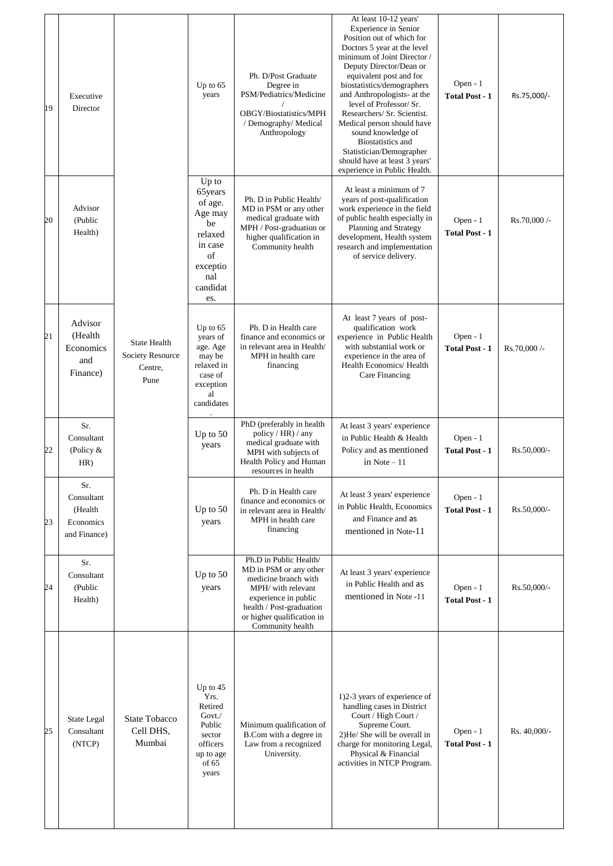| 19 | Executive<br>Director                                     |                                                                   | Up to $65$<br>years                                                                                            | Ph. D/Post Graduate<br>Degree in<br>PSM/Pediatrics/Medicine<br>OBGY/Biostatistics/MPH<br>/ Demography/ Medical<br>Anthropology                                                                       | At least 10-12 years'<br>Experience in Senior<br>Position out of which for<br>Doctors 5 year at the level<br>minimum of Joint Director /<br>Deputy Director/Dean or<br>equivalent post and for<br>biostatistics/demographers<br>and Anthropologists- at the<br>level of Professor/ Sr.<br>Researchers/ Sr. Scientist.<br>Medical person should have<br>sound knowledge of<br><b>Biostatistics</b> and<br>Statistician/Demographer<br>should have at least 3 years'<br>experience in Public Health. | Open - 1<br><b>Total Post - 1</b> | Rs.75,000/-  |
|----|-----------------------------------------------------------|-------------------------------------------------------------------|----------------------------------------------------------------------------------------------------------------|------------------------------------------------------------------------------------------------------------------------------------------------------------------------------------------------------|----------------------------------------------------------------------------------------------------------------------------------------------------------------------------------------------------------------------------------------------------------------------------------------------------------------------------------------------------------------------------------------------------------------------------------------------------------------------------------------------------|-----------------------------------|--------------|
| 20 | Advisor<br>(Public<br>Health)                             |                                                                   | Up to<br>65years<br>of age.<br>Age may<br>be<br>relaxed<br>in case<br>of<br>exceptio<br>nal<br>candidat<br>es. | Ph. D in Public Health/<br>MD in PSM or any other<br>medical graduate with<br>MPH / Post-graduation or<br>higher qualification in<br>Community health                                                | At least a minimum of 7<br>years of post-qualification<br>work experience in the field<br>of public health especially in<br>Planning and Strategy<br>development, Health system<br>research and implementation<br>of service delivery.                                                                                                                                                                                                                                                             | Open - 1<br><b>Total Post - 1</b> | Rs.70,000 /- |
| 21 | Advisor<br>(Health<br>Economics<br>and<br>Finance)        | <b>State Health</b><br><b>Society Resource</b><br>Centre,<br>Pune | Up to $65$<br>years of<br>age. Age<br>may be<br>relaxed in<br>case of<br>exception<br>al<br>candidates         | Ph. D in Health care<br>finance and economics or<br>in relevant area in Health/<br>MPH in health care<br>financing                                                                                   | At least 7 years of post-<br>qualification work<br>experience in Public Health<br>with substantial work or<br>experience in the area of<br>Health Economics/Health<br>Care Financing                                                                                                                                                                                                                                                                                                               | Open - 1<br><b>Total Post - 1</b> | Rs.70,000 /- |
| 22 | Sr.<br>Consultant<br>(Policy $&$<br>HR)                   |                                                                   | Up to 50<br>years                                                                                              | PhD (preferably in health<br>policy / HR) / any<br>medical graduate with<br>MPH with subjects of<br>Health Policy and Human<br>resources in health                                                   | At least 3 years' experience<br>in Public Health & Health<br>Policy and as mentioned<br>in Note $-11$                                                                                                                                                                                                                                                                                                                                                                                              | Open - 1<br><b>Total Post - 1</b> | Rs.50,000/-  |
| 23 | Sr.<br>Consultant<br>(Health<br>Economics<br>and Finance) |                                                                   | Up to 50<br>years                                                                                              | Ph. D in Health care<br>finance and economics or<br>in relevant area in Health/<br>MPH in health care<br>financing                                                                                   | At least 3 years' experience<br>in Public Health, Economics<br>and Finance and as<br>mentioned in Note-11                                                                                                                                                                                                                                                                                                                                                                                          | Open - 1<br><b>Total Post - 1</b> | Rs.50,000/-  |
| 24 | Sr.<br>Consultant<br>(Public<br>Health)                   |                                                                   | Up to $50$<br>years                                                                                            | Ph.D in Public Health/<br>MD in PSM or any other<br>medicine branch with<br>MPH/ with relevant<br>experience in public<br>health / Post-graduation<br>or higher qualification in<br>Community health | At least 3 years' experience<br>in Public Health and as<br>mentioned in Note -11                                                                                                                                                                                                                                                                                                                                                                                                                   | Open - 1<br><b>Total Post - 1</b> | Rs.50,000/-  |
| 25 | State Legal<br>Consultant<br>(NTCP)                       | <b>State Tobacco</b><br>Cell DHS,<br>Mumbai                       | Up to $45$<br>Yrs.<br>Retired<br>$Govt$ ./<br>Public<br>sector<br>officers<br>up to age<br>of 65<br>years      | Minimum qualification of<br>B.Com with a degree in<br>Law from a recognized<br>University.                                                                                                           | 1)2-3 years of experience of<br>handling cases in District<br>Court / High Court /<br>Supreme Court.<br>2)He/ She will be overall in<br>charge for monitoring Legal,<br>Physical & Financial<br>activities in NTCP Program.                                                                                                                                                                                                                                                                        | Open - 1<br><b>Total Post - 1</b> | Rs. 40,000/- |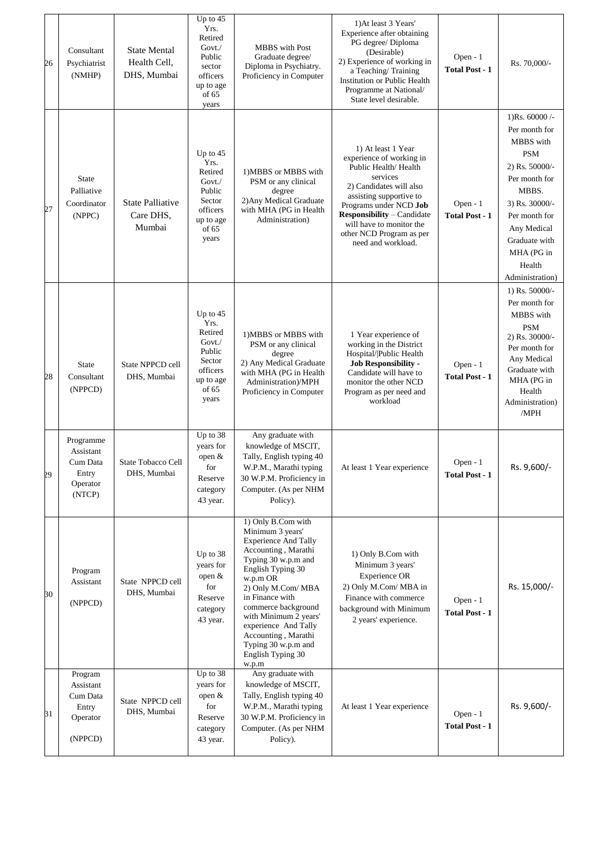| 26 | Consultant<br>Psychiatrist<br>(NMHP)                              | <b>State Mental</b><br>Health Cell,<br>DHS, Mumbai | Up to $45$<br>Yrs.<br>Retired<br>Govt./<br>Public<br>sector<br>officers<br>up to age<br>of 65<br>years | <b>MBBS</b> with Post<br>Graduate degree/<br>Diploma in Psychiatry.<br>Proficiency in Computer                                                                                                                                                                                                                                                    | 1) At least 3 Years'<br>Experience after obtaining<br>PG degree/ Diploma<br>(Desirable)<br>2) Experience of working in<br>a Teaching/Training<br>Institution or Public Health<br>Programme at National/<br>State level desirable.                                                     | Open - 1<br><b>Total Post - 1</b>   | Rs. 70,000/-                                                                                                                                                                                                           |
|----|-------------------------------------------------------------------|----------------------------------------------------|--------------------------------------------------------------------------------------------------------|---------------------------------------------------------------------------------------------------------------------------------------------------------------------------------------------------------------------------------------------------------------------------------------------------------------------------------------------------|---------------------------------------------------------------------------------------------------------------------------------------------------------------------------------------------------------------------------------------------------------------------------------------|-------------------------------------|------------------------------------------------------------------------------------------------------------------------------------------------------------------------------------------------------------------------|
| 27 | <b>State</b><br>Palliative<br>Coordinator<br>(NPPC)               | <b>State Palliative</b><br>Care DHS,<br>Mumbai     | Up to $45$<br>Yrs.<br>Retired<br>Govt./<br>Public<br>Sector<br>officers<br>up to age<br>of 65<br>years | 1) MBBS or MBBS with<br>PSM or any clinical<br>degree<br>2) Any Medical Graduate<br>with MHA (PG in Health<br>Administration)                                                                                                                                                                                                                     | 1) At least 1 Year<br>experience of working in<br>Public Health/Health<br>services<br>2) Candidates will also<br>assisting supportive to<br>Programs under NCD Job<br><b>Responsibility - Candidate</b><br>will have to monitor the<br>other NCD Program as per<br>need and workload. | Open - $1$<br><b>Total Post - 1</b> | 1)Rs. $60000$ /-<br>Per month for<br>MBBS with<br><b>PSM</b><br>2) Rs. 50000/-<br>Per month for<br>MBBS.<br>3) Rs. 30000/-<br>Per month for<br>Any Medical<br>Graduate with<br>MHA (PG in<br>Health<br>Administration) |
| 28 | <b>State</b><br>Consultant<br>(NPPCD)                             | State NPPCD cell<br>DHS, Mumbai                    | Up to $45$<br>Yrs.<br>Retired<br>Govt./<br>Public<br>Sector<br>officers<br>up to age<br>of 65<br>years | 1) MBBS or MBBS with<br>PSM or any clinical<br>degree<br>2) Any Medical Graduate<br>with MHA (PG in Health<br>Administration)/MPH<br>Proficiency in Computer                                                                                                                                                                                      | 1 Year experience of<br>working in the District<br>Hospital/ Public Health<br><b>Job Responsibility -</b><br>Candidate will have to<br>monitor the other NCD<br>Program as per need and<br>workload                                                                                   | Open $-1$<br><b>Total Post - 1</b>  | 1) Rs. $50000/-$<br>Per month for<br>MBBS with<br><b>PSM</b><br>2) Rs. 30000/-<br>Per month for<br>Any Medical<br>Graduate with<br>MHA (PG in<br>Health<br>Administration)<br>/MPH                                     |
| 29 | Programme<br>Assistant<br>Cum Data<br>Entry<br>Operator<br>(NTCP) | State Tobacco Cell<br>DHS, Mumbai                  | Up to 38<br>years for<br>open &<br>for<br>Reserve<br>category<br>43 year.                              | Any graduate with<br>knowledge of MSCIT,<br>Tally, English typing 40<br>W.P.M., Marathi typing<br>30 W.P.M. Proficiency in<br>Computer. (As per NHM<br>Policy).                                                                                                                                                                                   | At least 1 Year experience                                                                                                                                                                                                                                                            | Open $-1$<br><b>Total Post - 1</b>  | Rs. 9,600/-                                                                                                                                                                                                            |
| 30 | Program<br>Assistant<br>(NPPCD)                                   | State NPPCD cell<br>DHS, Mumbai                    | Up to 38<br>years for<br>open $&$<br>for<br>Reserve<br>category<br>43 year.                            | 1) Only B.Com with<br>Minimum 3 years'<br><b>Experience And Tally</b><br>Accounting, Marathi<br>Typing 30 w.p.m and<br>English Typing 30<br>w.p.m OR<br>2) Only M.Com/ MBA<br>in Finance with<br>commerce background<br>with Minimum 2 years'<br>experience And Tally<br>Accounting, Marathi<br>Typing 30 w.p.m and<br>English Typing 30<br>w.p.m | 1) Only B.Com with<br>Minimum 3 years'<br>Experience OR<br>2) Only M.Com/ MBA in<br>Finance with commerce<br>background with Minimum<br>2 years' experience.                                                                                                                          | Open - $1$<br><b>Total Post - 1</b> | Rs. 15,000/-                                                                                                                                                                                                           |
| 31 | Program<br>Assistant<br>Cum Data<br>Entry<br>Operator<br>(NPPCD)  | State NPPCD cell<br>DHS, Mumbai                    | Up to 38<br>years for<br>open $\&$<br>for<br>Reserve<br>category<br>43 year.                           | Any graduate with<br>knowledge of MSCIT,<br>Tally, English typing 40<br>W.P.M., Marathi typing<br>30 W.P.M. Proficiency in<br>Computer. (As per NHM<br>Policy).                                                                                                                                                                                   | At least 1 Year experience                                                                                                                                                                                                                                                            | Open - 1<br><b>Total Post - 1</b>   | Rs. 9,600/-                                                                                                                                                                                                            |